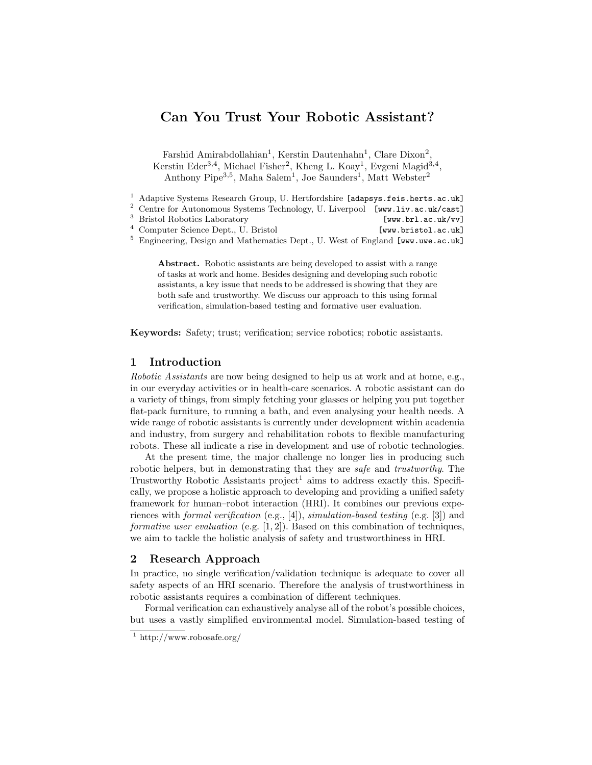## Can You Trust Your Robotic Assistant?

Farshid Amirabdollahian<sup>1</sup>, Kerstin Dautenhahn<sup>1</sup>, Clare Dixon<sup>2</sup>, Kerstin Eder<sup>3,4</sup>, Michael Fisher<sup>2</sup>, Kheng L. Koay<sup>1</sup>, Evgeni Magid<sup>3,4</sup>, Anthony Pipe<sup>3,5</sup>, Maha Salem<sup>1</sup>, Joe Saunders<sup>1</sup>, Matt Webster<sup>2</sup>

<sup>1</sup> Adaptive Systems Research Group, U. Hertfordshire [adapsys.feis.herts.ac.uk]

<sup>2</sup> Centre for Autonomous Systems Technology, U. Liverpool [www.liv.ac.uk/cast]

<sup>4</sup> Computer Science Dept., U. Bristol [www.bristol.ac.uk]

<sup>5</sup> Engineering, Design and Mathematics Dept., U. West of England [www.uwe.ac.uk]

Abstract. Robotic assistants are being developed to assist with a range of tasks at work and home. Besides designing and developing such robotic assistants, a key issue that needs to be addressed is showing that they are both safe and trustworthy. We discuss our approach to this using formal verification, simulation-based testing and formative user evaluation.

Keywords: Safety; trust; verification; service robotics; robotic assistants.

## 1 Introduction

Robotic Assistants are now being designed to help us at work and at home, e.g., in our everyday activities or in health-care scenarios. A robotic assistant can do a variety of things, from simply fetching your glasses or helping you put together flat-pack furniture, to running a bath, and even analysing your health needs. A wide range of robotic assistants is currently under development within academia and industry, from surgery and rehabilitation robots to flexible manufacturing robots. These all indicate a rise in development and use of robotic technologies.

At the present time, the major challenge no longer lies in producing such robotic helpers, but in demonstrating that they are *safe* and *trustworthy*. The Trustworthy Robotic Assistants  $project<sup>1</sup>$  aims to address exactly this. Specifically, we propose a holistic approach to developing and providing a unified safety framework for human–robot interaction (HRI). It combines our previous experiences with formal verification (e.g., [4]), simulation-based testing (e.g. [3]) and formative user evaluation (e.g.  $[1, 2]$ ). Based on this combination of techniques, we aim to tackle the holistic analysis of safety and trustworthiness in HRI.

## 2 Research Approach

In practice, no single verification/validation technique is adequate to cover all safety aspects of an HRI scenario. Therefore the analysis of trustworthiness in robotic assistants requires a combination of different techniques.

Formal verification can exhaustively analyse all of the robot's possible choices, but uses a vastly simplified environmental model. Simulation-based testing of

<sup>&</sup>lt;sup>3</sup> Bristol Robotics Laboratory [www.brl.ac.uk/vv]

<sup>&</sup>lt;sup>1</sup> http://www.robosafe.org/